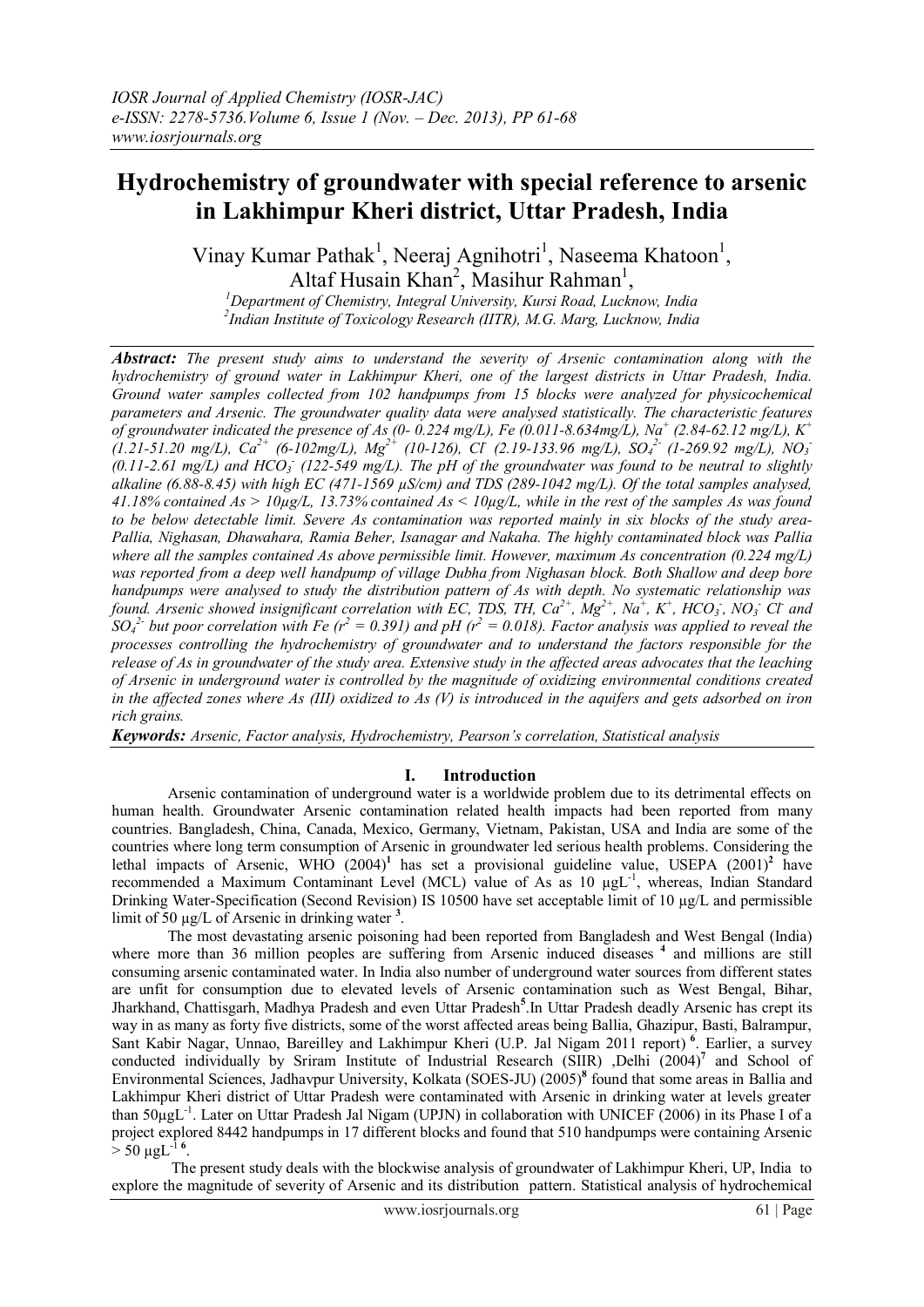# **Hydrochemistry of groundwater with special reference to arsenic in Lakhimpur Kheri district, Uttar Pradesh, India**

Vinay Kumar Pathak<sup>1</sup>, Neeraj Agnihotri<sup>1</sup>, Naseema Khatoon<sup>1</sup>, Altaf Husain Khan<sup>2</sup>, Masihur Rahman<sup>1</sup>,

*<sup>1</sup>Department of Chemistry, Integral University, Kursi Road, Lucknow, India 2 Indian Institute of Toxicology Research (IITR), M.G. Marg, Lucknow, India*

*Abstract: The present study aims to understand the severity of Arsenic contamination along with the hydrochemistry of ground water in Lakhimpur Kheri, one of the largest districts in Uttar Pradesh, India. Ground water samples collected from 102 handpumps from 15 blocks were analyzed for physicochemical parameters and Arsenic. The groundwater quality data were analysed statistically. The characteristic features of groundwater indicated the presence of As (0- 0.224 mg/L), Fe (0.011-8.634mg/L), Na<sup>+</sup> (2.84-62.12 mg/L), K<sup>+</sup> (1.21-51.20 mg/L), Ca2+ (6-102mg/L), Mg2+ (10-126), Cl- (2.19-133.96 mg/L), SO<sup>4</sup> 2- (1-269.92 mg/L), NO<sup>3</sup> -*  $(0.11-2.61 \text{ mg/L})$  and  $HCO_3$  (122-549 mg/L). The pH of the groundwater was found to be neutral to slightly *alkaline (6.88-8.45) with high EC (471-1569 µS/cm) and TDS (289-1042 mg/L). Of the total samples analysed, 41.18% contained As > 10µg/L, 13.73% contained As < 10µg/L, while in the rest of the samples As was found to be below detectable limit. Severe As contamination was reported mainly in six blocks of the study area-Pallia, Nighasan, Dhawahara, Ramia Beher, Isanagar and Nakaha. The highly contaminated block was Pallia where all the samples contained As above permissible limit. However, maximum As concentration (0.224 mg/L) was reported from a deep well handpump of village Dubha from Nighasan block. Both Shallow and deep bore handpumps were analysed to study the distribution pattern of As with depth. No systematic relationship was*  found. Arsenic showed insignificant correlation with EC, TDS, TH,  $Ca^{2+}$ ,  $Mg^{2+}$ , Na<sup>+</sup>, K<sup>+</sup>, HCO<sub>3</sub>, NO<sub>3</sub> Cl and  $SO_4^2$  but poor correlation with Fe ( $r^2 = 0.391$ ) and pH ( $r^2 = 0.018$ ). Factor analysis was applied to reveal the *processes controlling the hydrochemistry of groundwater and to understand the factors responsible for the release of As in groundwater of the study area. Extensive study in the affected areas advocates that the leaching of Arsenic in underground water is controlled by the magnitude of oxidizing environmental conditions created in the affected zones where As (III) oxidized to As (V) is introduced in the aquifers and gets adsorbed on iron rich grains.*

*Keywords: Arsenic, Factor analysis, Hydrochemistry, Pearson's correlation, Statistical analysis*

# **I. Introduction**

Arsenic contamination of underground water is a worldwide problem due to its detrimental effects on human health. Groundwater Arsenic contamination related health impacts had been reported from many countries. Bangladesh, China, Canada, Mexico, Germany, Vietnam, Pakistan, USA and India are some of the countries where long term consumption of Arsenic in groundwater led serious health problems. Considering the lethal impacts of Arsenic, WHO (2004)**<sup>1</sup>** has set a provisional guideline value, USEPA (2001)**<sup>2</sup>** have recommended a Maximum Contaminant Level (MCL) value of As as 10 µgL<sup>-1</sup>, whereas, Indian Standard Drinking Water-Specification (Second Revision) IS 10500 have set acceptable limit of 10 µg/L and permissible limit of 50 µg/L of Arsenic in drinking water **<sup>3</sup>** .

 The most devastating arsenic poisoning had been reported from Bangladesh and West Bengal (India) where more than 36 million peoples are suffering from Arsenic induced diseases <sup>4</sup> and millions are still consuming arsenic contaminated water. In India also number of underground water sources from different states are unfit for consumption due to elevated levels of Arsenic contamination such as West Bengal, Bihar, Jharkhand, Chattisgarh, Madhya Pradesh and even Uttar Pradesh<sup>5</sup>. In Uttar Pradesh deadly Arsenic has crept its way in as many as forty five districts, some of the worst affected areas being Ballia, Ghazipur, Basti, Balrampur, Sant Kabir Nagar, Unnao, Bareilley and Lakhimpur Kheri (U.P. Jal Nigam 2011 report)<sup>6</sup>. Earlier, a survey conducted individually by Sriram Institute of Industrial Research (SIIR) ,Delhi (2004)<sup>7</sup> and School of Environmental Sciences, Jadhavpur University, Kolkata (SOES-JU) (2005)**<sup>8</sup>** found that some areas in Ballia and Lakhimpur Kheri district of Uttar Pradesh were contaminated with Arsenic in drinking water at levels greater than 50µgL<sup>-1</sup>. Later on Uttar Pradesh Jal Nigam (UPJN) in collaboration with UNICEF (2006) in its Phase I of a project explored 8442 handpumps in 17 different blocks and found that 510 handpumps were containing Arsenic  $>$  50 µgL<sup>-1 6</sup>.

 The present study deals with the blockwise analysis of groundwater of Lakhimpur Kheri, UP, India to explore the magnitude of severity of Arsenic and its distribution pattern. Statistical analysis of hydrochemical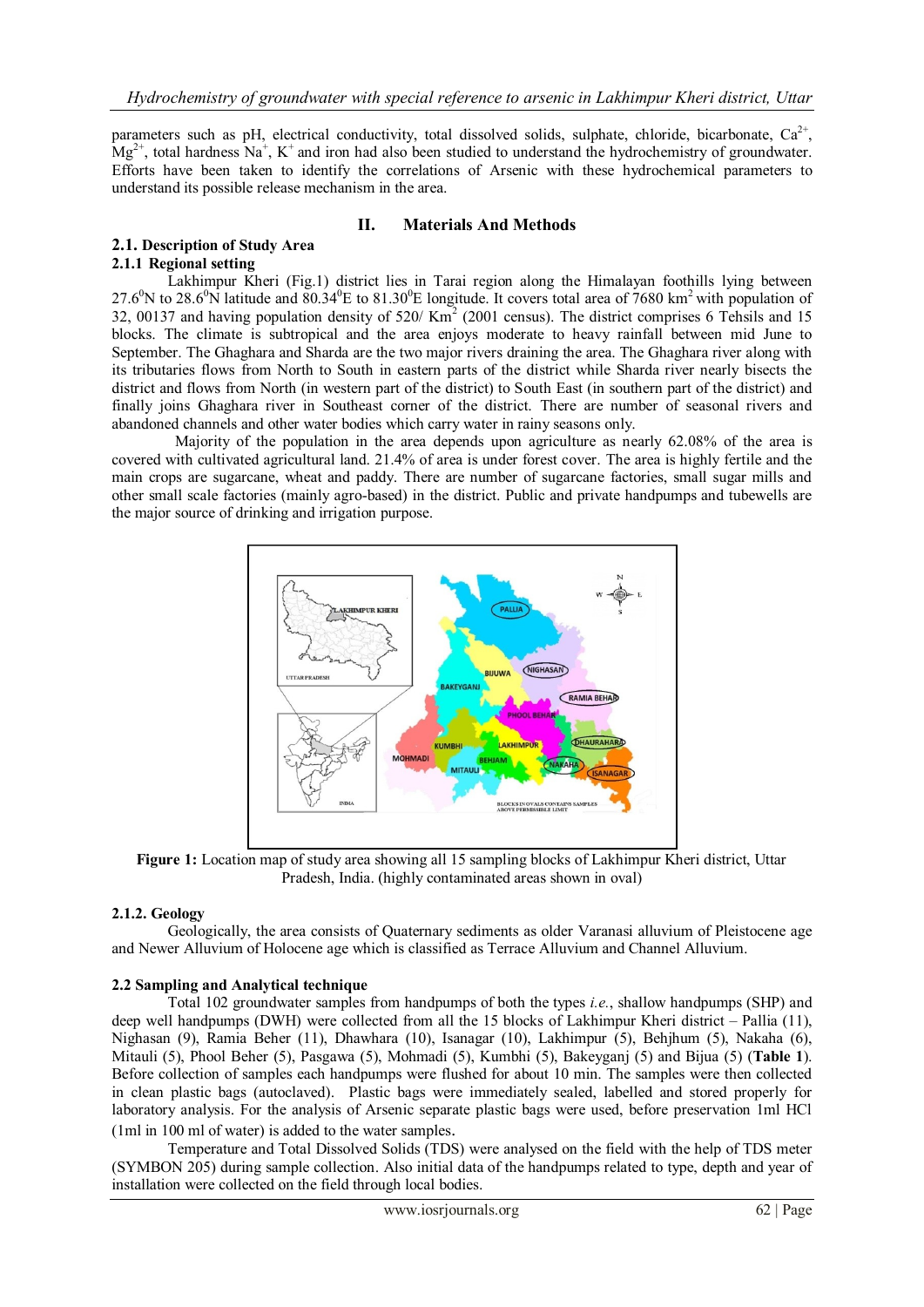parameters such as pH, electrical conductivity, total dissolved solids, sulphate, chloride, bicarbonate,  $Ca^{2+}$ ,  $Mg^{2+}$ , total hardness Na<sup>+</sup>, K<sup>+</sup> and iron had also been studied to understand the hydrochemistry of groundwater. Efforts have been taken to identify the correlations of Arsenic with these hydrochemical parameters to understand its possible release mechanism in the area.

### **II. Materials And Methods**

# **2.1. Description of Study Area 2.1.1 Regional setting**

Lakhimpur Kheri (Fig.1) district lies in Tarai region along the Himalayan foothills lying between 27.6<sup>0</sup>N to 28.6<sup>0</sup>N latitude and  $80.34$ <sup>O</sup>E to 81.30<sup>0</sup>E longitude. It covers total area of 7680 km<sup>2</sup> with population of 32, 00137 and having population density of  $520 / Km<sup>2</sup>$  (2001 census). The district comprises 6 Tehsils and 15 blocks. The climate is subtropical and the area enjoys moderate to heavy rainfall between mid June to September. The Ghaghara and Sharda are the two major rivers draining the area. The Ghaghara river along with its tributaries flows from North to South in eastern parts of the district while Sharda river nearly bisects the district and flows from North (in western part of the district) to South East (in southern part of the district) and finally joins Ghaghara river in Southeast corner of the district. There are number of seasonal rivers and abandoned channels and other water bodies which carry water in rainy seasons only.

 Majority of the population in the area depends upon agriculture as nearly 62.08% of the area is covered with cultivated agricultural land. 21.4% of area is under forest cover. The area is highly fertile and the main crops are sugarcane, wheat and paddy. There are number of sugarcane factories, small sugar mills and other small scale factories (mainly agro-based) in the district. Public and private handpumps and tubewells are the major source of drinking and irrigation purpose.



**Figure 1:** Location map of study area showing all 15 sampling blocks of Lakhimpur Kheri district, Uttar Pradesh, India. (highly contaminated areas shown in oval)

# **2.1.2. Geology**

Geologically, the area consists of Quaternary sediments as older Varanasi alluvium of Pleistocene age and Newer Alluvium of Holocene age which is classified as Terrace Alluvium and Channel Alluvium.

# **2.2 Sampling and Analytical technique**

Total 102 groundwater samples from handpumps of both the types *i.e.*, shallow handpumps (SHP) and deep well handpumps (DWH) were collected from all the 15 blocks of Lakhimpur Kheri district – Pallia (11), Nighasan (9), Ramia Beher (11), Dhawhara (10), Isanagar (10), Lakhimpur (5), Behjhum (5), Nakaha (6), Mitauli (5), Phool Beher (5), Pasgawa (5), Mohmadi (5), Kumbhi (5), Bakeyganj (5) and Bijua (5) (**Table 1**). Before collection of samples each handpumps were flushed for about 10 min. The samples were then collected in clean plastic bags (autoclaved). Plastic bags were immediately sealed, labelled and stored properly for laboratory analysis. For the analysis of Arsenic separate plastic bags were used, before preservation 1ml HCl (1ml in 100 ml of water) is added to the water samples.

Temperature and Total Dissolved Solids (TDS) were analysed on the field with the help of TDS meter (SYMBON 205) during sample collection. Also initial data of the handpumps related to type, depth and year of installation were collected on the field through local bodies.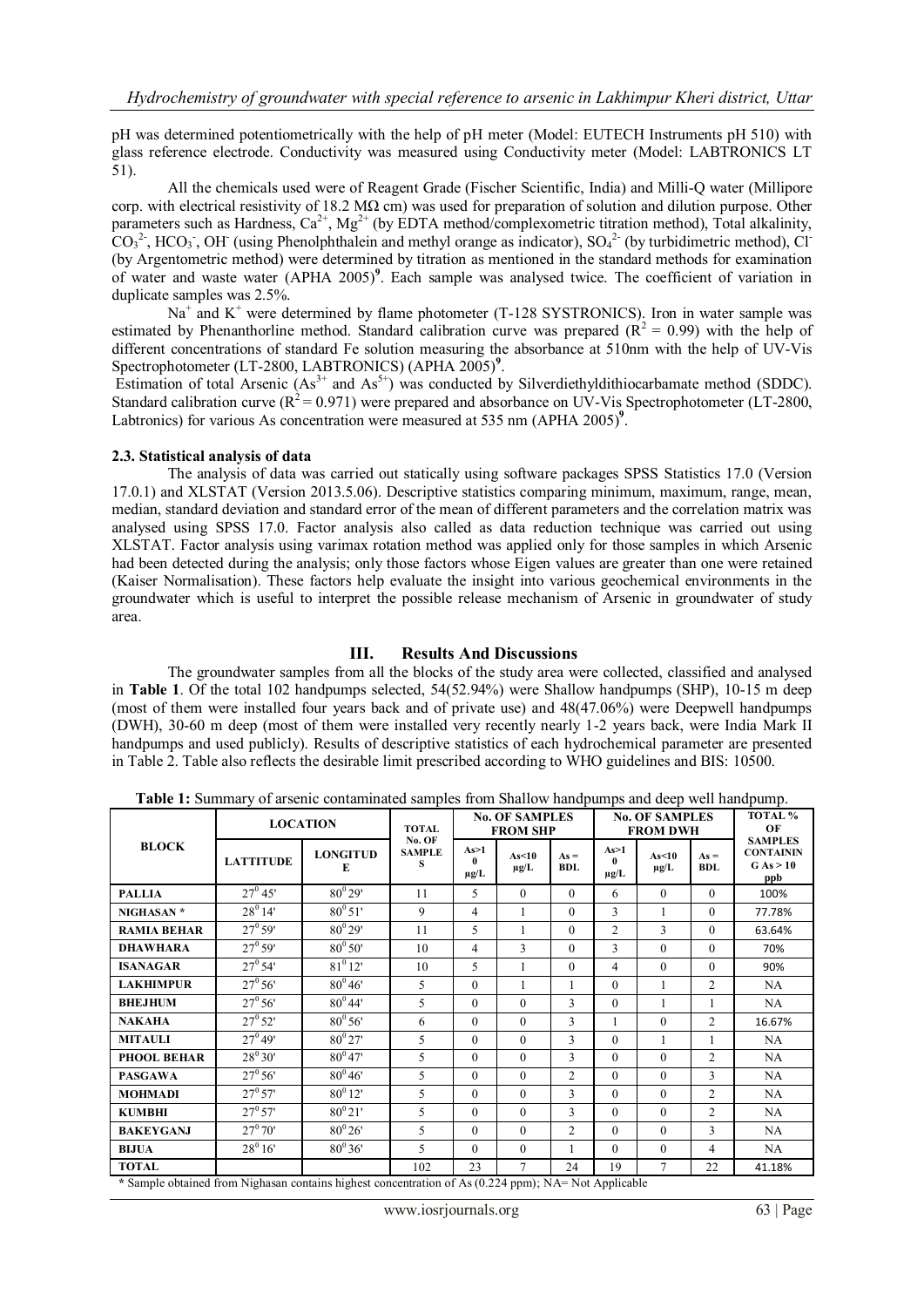pH was determined potentiometrically with the help of pH meter (Model: EUTECH Instruments pH 510) with glass reference electrode. Conductivity was measured using Conductivity meter (Model: LABTRONICS LT 51).

All the chemicals used were of Reagent Grade (Fischer Scientific, India) and Milli-Q water (Millipore corp. with electrical resistivity of 18.2 M $\Omega$  cm) was used for preparation of solution and dilution purpose. Other parameters such as Hardness,  $Ca^{2+}$ , Mg<sup>2+</sup> (by EDTA method/complexometric titration method), Total alkalinity,  $CO<sub>3</sub><sup>2</sup>$ , HCO<sub>3</sub>, OH (using Phenolphthalein and methyl orange as indicator), SO<sub>4</sub><sup>2</sup> (by turbidimetric method), Cl<sup>-</sup> (by Argentometric method) were determined by titration as mentioned in the standard methods for examination of water and waste water (APHA 2005)<sup>9</sup>. Each sample was analysed twice. The coefficient of variation in duplicate samples was 2.5%.

Na<sup>+</sup> and K<sup>+</sup> were determined by flame photometer (T-128 SYSTRONICS). Iron in water sample was estimated by Phenanthorline method. Standard calibration curve was prepared ( $\mathbb{R}^2 = 0.99$ ) with the help of different concentrations of standard Fe solution measuring the absorbance at 510nm with the help of UV-Vis Spectrophotometer (LT-2800, LABTRONICS) (APHA 2005)<sup>9</sup>.

Estimation of total Arsenic  $(As^{3+}$  and  $As^{5+})$  was conducted by Silverdiethyldithiocarbamate method (SDDC). Standard calibration curve ( $R^2$  = 0.971) were prepared and absorbance on UV-Vis Spectrophotometer (LT-2800, Labtronics) for various As concentration were measured at 535 nm (APHA 2005)<sup>9</sup>.

#### **2.3. Statistical analysis of data**

The analysis of data was carried out statically using software packages SPSS Statistics 17.0 (Version 17.0.1) and XLSTAT (Version 2013.5.06). Descriptive statistics comparing minimum, maximum, range, mean, median, standard deviation and standard error of the mean of different parameters and the correlation matrix was analysed using SPSS 17.0. Factor analysis also called as data reduction technique was carried out using XLSTAT. Factor analysis using varimax rotation method was applied only for those samples in which Arsenic had been detected during the analysis; only those factors whose Eigen values are greater than one were retained (Kaiser Normalisation). These factors help evaluate the insight into various geochemical environments in the groundwater which is useful to interpret the possible release mechanism of Arsenic in groundwater of study area.

#### **III. Results And Discussions**

The groundwater samples from all the blocks of the study area were collected, classified and analysed in **Table 1**. Of the total 102 handpumps selected, 54(52.94%) were Shallow handpumps (SHP), 10-15 m deep (most of them were installed four years back and of private use) and 48(47.06%) were Deepwell handpumps (DWH), 30-60 m deep (most of them were installed very recently nearly 1-2 years back, were India Mark II handpumps and used publicly). Results of descriptive statistics of each hydrochemical parameter are presented in Table 2. Table also reflects the desirable limit prescribed according to WHO guidelines and BIS: 10500.

| <b>BLOCK</b>             | <b>LOCATION</b>             | <b>TOTAL</b>         | <b>No. OF SAMPLES</b><br><b>FROM SHP</b> |                        |                    | <b>No. OF SAMPLES</b><br><b>FROM DWH</b> |                                                                                                                                                                                                                                          |                    | TOTAL <sup>%</sup><br>OF |                                                        |
|--------------------------|-----------------------------|----------------------|------------------------------------------|------------------------|--------------------|------------------------------------------|------------------------------------------------------------------------------------------------------------------------------------------------------------------------------------------------------------------------------------------|--------------------|--------------------------|--------------------------------------------------------|
|                          | <b>LATTITUDE</b>            | <b>LONGITUD</b><br>E | No. OF<br><b>SAMPLE</b><br>s             | As>1<br>0<br>$\mu$ g/L | As<10<br>$\mu$ g/L | $As =$<br><b>BDL</b>                     | As>1<br>$\mathbf{0}$<br>μg/L                                                                                                                                                                                                             | As<10<br>$\mu$ g/L | $As =$<br><b>BDL</b>     | <b>SAMPLES</b><br><b>CONTAININ</b><br>G As > 10<br>ppb |
| <b>PALLIA</b>            | $27^0$ 45'                  | $80^{0}29'$          | 11                                       | 5                      | $\Omega$           | $\Omega$                                 | 6                                                                                                                                                                                                                                        | $\Omega$           | $\Omega$                 | 100%                                                   |
| NIGHASAN *               | $28^0$ 14'                  | $80^0 51'$           | 9                                        | $\overline{4}$         | 1                  | $\Omega$                                 | 3                                                                                                                                                                                                                                        | 1                  | $\theta$                 | 77.78%                                                 |
| <b>RAMIA BEHAR</b>       | $27^0 59'$                  | $80^{0}29'$          | 11                                       | 5                      |                    | $\Omega$                                 | $\overline{c}$                                                                                                                                                                                                                           | 3                  | $\theta$                 | 63.64%                                                 |
| <b>DHAWHARA</b>          | $27^{\rm o} 59'$            | $80^{\circ} 50'$     | 10                                       | $\overline{4}$         | 3                  | $\Omega$                                 | 3                                                                                                                                                                                                                                        | $\Omega$           | $\theta$                 | 70%                                                    |
| <b>ISANAGAR</b>          | $27^{\circ} 54'$            | $81^{\circ}12'$      | 10                                       | 5                      | 1                  | $\theta$                                 | $\overline{4}$                                                                                                                                                                                                                           | $\theta$           | $\theta$                 | 90%                                                    |
| <b>LAKHIMPUR</b>         | $27^{\circ} 56'$            | $80^0 46'$           | 5                                        | $\Omega$               |                    |                                          | $\Omega$                                                                                                                                                                                                                                 |                    | $\overline{2}$           | NA                                                     |
| <b>BHEJHUM</b>           | $27^{\circ} 56'$            | $80^0 44'$           | 5                                        | $\theta$               | $\theta$           | 3                                        | $\theta$                                                                                                                                                                                                                                 |                    |                          | NA                                                     |
| <b>NAKAHA</b>            | $27^{\rm o} 52'$            | $80^{\circ} 56'$     | 6                                        | $\theta$               | $\theta$           | 3                                        |                                                                                                                                                                                                                                          | $\theta$           | $\overline{2}$           | 16.67%                                                 |
| <b>MITAULI</b>           | $27^0 49'$                  | $80^{0}27'$          | 5                                        | $\Omega$               | $\Omega$           | 3                                        | $\theta$                                                                                                                                                                                                                                 | 1                  |                          | NA                                                     |
| <b>PHOOL BEHAR</b>       | $28^0 30'$                  | $80^{0}47'$          | 5                                        | $\Omega$               | $\Omega$           | 3                                        | $\Omega$                                                                                                                                                                                                                                 | $\Omega$           | $\overline{c}$           | NA                                                     |
| <b>PASGAWA</b>           | $27^{\circ} 56'$            | $80^{\circ}46'$      | 5                                        | $\Omega$               | $\Omega$           | $\overline{c}$                           | $\Omega$                                                                                                                                                                                                                                 | $\Omega$           | $\mathbf{3}$             | NA                                                     |
| <b>MOHMADI</b>           | $27^{\rm o} 57'$            | $80^0 12'$           | 5                                        | $\theta$               | $\theta$           | 3                                        | $\Omega$                                                                                                                                                                                                                                 | $\theta$           | $\overline{2}$           | NA                                                     |
| <b>KUMBHI</b>            | $27^{\circ}57'$             | $80^{0}21'$          | 5                                        | $\theta$               | $\theta$           | 3                                        | $\theta$                                                                                                                                                                                                                                 | $\theta$           | $\overline{c}$           | NA                                                     |
| <b>BAKEYGANJ</b>         | $27^{\rm o} 70'$            | $80^{0}26'$          | 5                                        | $\theta$               | $\Omega$           | $\overline{c}$                           | $\theta$                                                                                                                                                                                                                                 | $\Omega$           | 3                        | NA                                                     |
| <b>BIJUA</b>             | $28^0 16'$                  | $80^{0}36'$          | 5                                        | $\Omega$               | $\theta$           |                                          | $\theta$                                                                                                                                                                                                                                 | $\Omega$           | 4                        | NA                                                     |
| <b>TOTAL</b><br>$\cdots$ | $\sim$ $\sim$ $\sim$ $\sim$ | .                    | 102                                      | 23<br>$01$ $02$        | $\tau$             | 24                                       | 19<br>$\mathcal{N}$ , and a set of the set of the set of the set of the set of the set of the set of the set of the set of the set of the set of the set of the set of the set of the set of the set of the set of the set of the set of | 7                  | 22                       | 41.18%                                                 |

**Table 1:** Summary of arsenic contaminated samples from Shallow handpumps and deep well handpump.

**\*** Sample obtained from Nighasan contains highest concentration of As (0.224 ppm); NA= Not Applicable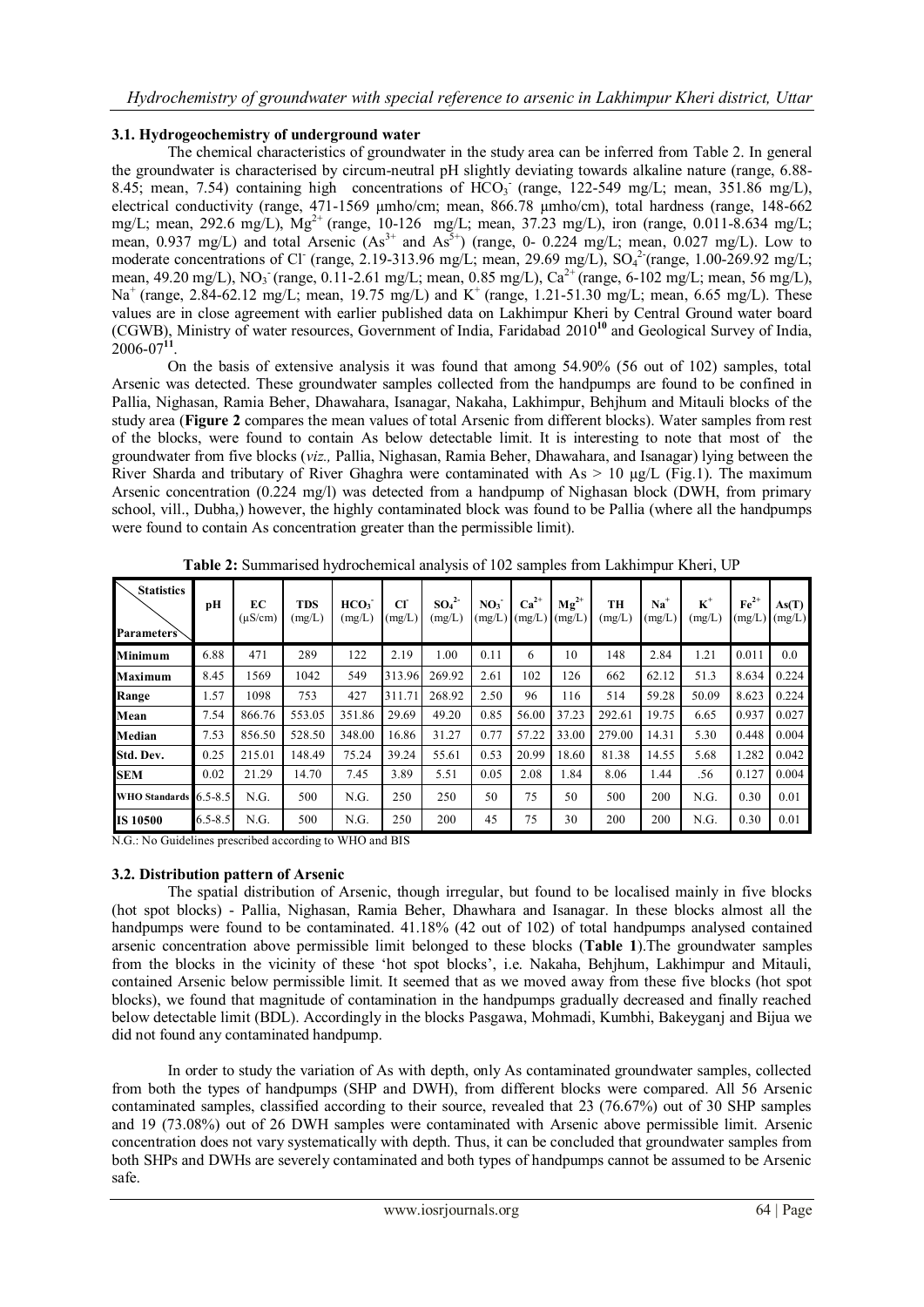#### **3.1. Hydrogeochemistry of underground water**

The chemical characteristics of groundwater in the study area can be inferred from Table 2. In general the groundwater is characterised by circum-neutral pH slightly deviating towards alkaline nature (range, 6.88- 8.45; mean, 7.54) containing high concentrations of  $HCO<sub>3</sub>^-$  (range, 122-549 mg/L; mean, 351.86 mg/L), electrical conductivity (range, 471-1569 µmho/cm; mean, 866.78 µmho/cm), total hardness (range, 148-662 mg/L; mean, 292.6 mg/L), Mg<sup>2+</sup> (range, 10-126 mg/L; mean, 37.23 mg/L), iron (range, 0.011-8.634 mg/L; mean, 0.937 mg/L) and total Arsenic  $(As<sup>3+</sup>$  and  $As<sup>5+</sup>)$  (range, 0- 0.224 mg/L; mean, 0.027 mg/L). Low to moderate concentrations of Cl<sup>-</sup> (range, 2.19-313.96 mg/L; mean, 29.69 mg/L), SO<sub>4</sub><sup>2</sup> (range, 1.00-269.92 mg/L; mean, 49.20 mg/L), NO<sub>3</sub> (range, 0.11-2.61 mg/L; mean, 0.85 mg/L), Ca<sup>2+</sup> (range, 6-102 mg/L; mean, 56 mg/L), Na<sup>+</sup> (range, 2.84-62.12 mg/L; mean, 19.75 mg/L) and K<sup>+</sup> (range, 1.21-51.30 mg/L; mean, 6.65 mg/L). These values are in close agreement with earlier published data on Lakhimpur Kheri by Central Ground water board (CGWB), Ministry of water resources, Government of India, Faridabad 2010**<sup>10</sup>** and Geological Survey of India, 2006-07**<sup>11</sup>** .

 On the basis of extensive analysis it was found that among 54.90% (56 out of 102) samples, total Arsenic was detected. These groundwater samples collected from the handpumps are found to be confined in Pallia, Nighasan, Ramia Beher, Dhawahara, Isanagar, Nakaha, Lakhimpur, Behjhum and Mitauli blocks of the study area (**Figure 2** compares the mean values of total Arsenic from different blocks). Water samples from rest of the blocks, were found to contain As below detectable limit. It is interesting to note that most of the groundwater from five blocks (*viz.,* Pallia, Nighasan, Ramia Beher, Dhawahara, and Isanagar) lying between the River Sharda and tributary of River Ghaghra were contaminated with  $As > 10 \mu g/L$  (Fig.1). The maximum Arsenic concentration (0.224 mg/l) was detected from a handpump of Nighasan block (DWH, from primary school, vill., Dubha,) however, the highly contaminated block was found to be Pallia (where all the handpumps were found to contain As concentration greater than the permissible limit).

| <b>Statistics</b><br><b>Parameters</b> | pН          | EC<br>$(\mu S/cm)$ | TDS<br>(mg/L) | HCO <sub>3</sub><br>(mg/L) | $_{\rm cr}$<br>(mg/L) | SO <sub>4</sub> <sup>2</sup><br>(mg/L) | NO <sub>3</sub><br>(mg/L) | $Ca2+$<br>(mg/L) | $Mg^{2+}$<br>(mg/L) | TH<br>(mg/L) | $Na+$<br>(mg/L) | $K^+$<br>(mg/L) | $Fe2+$<br>(mg/L) | As(T)<br>(mg/L) |
|----------------------------------------|-------------|--------------------|---------------|----------------------------|-----------------------|----------------------------------------|---------------------------|------------------|---------------------|--------------|-----------------|-----------------|------------------|-----------------|
| <b>Minimum</b>                         | 6.88        | 471                | 289           | 122                        | 2.19                  | 1.00                                   | 0.11                      | 6                | 10                  | 148          | 2.84            | 1.21            | 0.011            | 0.0             |
| <b>Maximum</b>                         | 8.45        | 1569               | 1042          | 549                        | 313.96                | 269.92                                 | 2.61                      | 102              | 126                 | 662          | 62.12           | 51.3            | 8.634            | 0.224           |
| Range                                  | 1.57        | 1098               | 753           | 427                        | 311.71                | 268.92                                 | 2.50                      | 96               | 116                 | 514          | 59.28           | 50.09           | 8.623            | 0.224           |
| Mean                                   | 7.54        | 866.76             | 553.05        | 351.86                     | 29.69                 | 49.20                                  | 0.85                      | 56.00            | 37.23               | 292.61       | 19.75           | 6.65            | 0.937            | 0.027           |
| <b>Median</b>                          | 7.53        | 856.50             | 528.50        | 348.00                     | 16.86                 | 31.27                                  | 0.77                      | 57.22            | 33.00               | 279.00       | 14.31           | 5.30            | 0.448            | 0.004           |
| Std. Dev.                              | 0.25        | 215.01             | 148.49        | 75.24                      | 39.24                 | 55.61                                  | 0.53                      | 20.99            | 18.60               | 81.38        | 14.55           | 5.68            | 1.282            | 0.042           |
| <b>SEM</b>                             | 0.02        | 21.29              | 14.70         | 7.45                       | 3.89                  | 5.51                                   | 0.05                      | 2.08             | 1.84                | 8.06         | 1.44            | .56             | 0.127            | 0.004           |
| WHO Standards 6.5-8.5                  |             | N.G.               | 500           | N.G.                       | 250                   | 250                                    | 50                        | 75               | 50                  | 500          | 200             | N.G.            | 0.30             | 0.01            |
| <b>IS 10500</b>                        | $6.5 - 8.5$ | N.G.               | 500           | N.G.                       | 250                   | 200                                    | 45                        | 75               | 30                  | 200          | 200             | N.G.            | 0.30             | 0.01            |

**Table 2:** Summarised hydrochemical analysis of 102 samples from Lakhimpur Kheri, UP

N.G.: No Guidelines prescribed according to WHO and BIS

#### **3.2. Distribution pattern of Arsenic**

The spatial distribution of Arsenic, though irregular, but found to be localised mainly in five blocks (hot spot blocks) - Pallia, Nighasan, Ramia Beher, Dhawhara and Isanagar. In these blocks almost all the handpumps were found to be contaminated. 41.18% (42 out of 102) of total handpumps analysed contained arsenic concentration above permissible limit belonged to these blocks (**Table 1**).The groundwater samples from the blocks in the vicinity of these 'hot spot blocks', i.e. Nakaha, Behjhum, Lakhimpur and Mitauli, contained Arsenic below permissible limit. It seemed that as we moved away from these five blocks (hot spot blocks), we found that magnitude of contamination in the handpumps gradually decreased and finally reached below detectable limit (BDL). Accordingly in the blocks Pasgawa, Mohmadi, Kumbhi, Bakeyganj and Bijua we did not found any contaminated handpump.

In order to study the variation of As with depth, only As contaminated groundwater samples, collected from both the types of handpumps (SHP and DWH), from different blocks were compared. All 56 Arsenic contaminated samples, classified according to their source, revealed that 23 (76.67%) out of 30 SHP samples and 19 (73.08%) out of 26 DWH samples were contaminated with Arsenic above permissible limit. Arsenic concentration does not vary systematically with depth. Thus, it can be concluded that groundwater samples from both SHPs and DWHs are severely contaminated and both types of handpumps cannot be assumed to be Arsenic safe.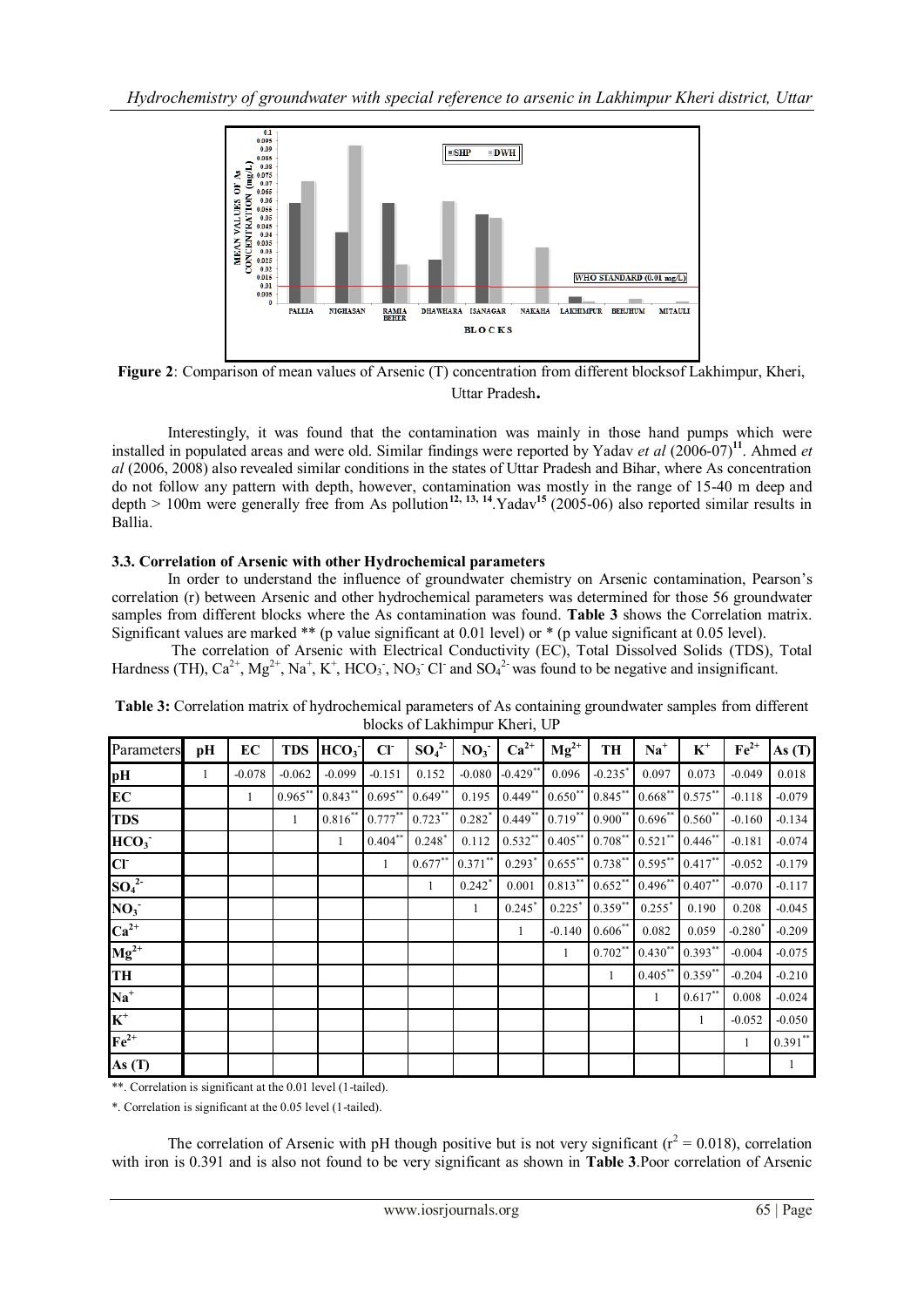

**Figure 2**: Comparison of mean values of Arsenic (T) concentration from different blocksof Lakhimpur, Kheri, Uttar Pradesh**.**

Interestingly, it was found that the contamination was mainly in those hand pumps which were installed in populated areas and were old. Similar findings were reported by Yadav *et al* (2006-07)**<sup>11</sup>** . Ahmed *et al* (2006, 2008) also revealed similar conditions in the states of Uttar Pradesh and Bihar, where As concentration do not follow any pattern with depth, however, contamination was mostly in the range of 15-40 m deep and depth  $> 100$ m were generally free from As pollution<sup>12, 13, <sup>14</sup>. Yadav<sup>15</sup> (2005-06) also reported similar results in</sup> Ballia.

# **3.3. Correlation of Arsenic with other Hydrochemical parameters**

In order to understand the influence of groundwater chemistry on Arsenic contamination, Pearson's correlation (r) between Arsenic and other hydrochemical parameters was determined for those 56 groundwater samples from different blocks where the As contamination was found. **Table 3** shows the Correlation matrix. Significant values are marked \*\* (p value significant at 0.01 level) or \* (p value significant at 0.05 level).

 The correlation of Arsenic with Electrical Conductivity (EC), Total Dissolved Solids (TDS), Total Hardness (TH),  $Ca^{2+}$ ,  $Mg^{2+}$ ,  $Na^+$ ,  $K^+$ , HCO<sub>3</sub>, NO<sub>3</sub> Cl<sup>-</sup> and SO<sub>4</sub><sup>2</sup> was found to be negative and insignificant.

| Parameters                   | pH | EC       | <b>TDS</b> | HCO <sub>3</sub> | CI           | $SO_4^2$  | NO <sub>3</sub>      | $Ca^{2+}$  | $Mg^{2+}$    | TH                    | $Na+$                | $K^+$      | $\mathbf{Fe}^{2+}$    | As $(T)$  |
|------------------------------|----|----------|------------|------------------|--------------|-----------|----------------------|------------|--------------|-----------------------|----------------------|------------|-----------------------|-----------|
| pH                           | 1  | $-0.078$ | $-0.062$   | $-0.099$         | $-0.151$     | 0.152     | $-0.080$             | $-0.429**$ | 0.096        | $-0.235$ <sup>*</sup> | 0.097                | 0.073      | $-0.049$              | 0.018     |
| EC                           |    | 1        | $0.965***$ | $0.843***$       | $0.695***$   | $0.649**$ | 0.195                | $0.449**$  | $0.650**$    | $0.845***$            | $0.668***$           | $0.575***$ | $-0.118$              | $-0.079$  |
| <b>TDS</b>                   |    |          | 1          | $0.816**$        | $0.777***$   | $0.723**$ | $0.282$ <sup>*</sup> | $0.449**$  | $0.719***$   | $0.900**$             | $0.696**$            | $0.560**$  | $-0.160$              | $-0.134$  |
| HCO <sub>3</sub>             |    |          |            | 1                | $0.404***$   | $0.248*$  | 0.112                | $0.532**$  | $0.405***$   | $0.708***$            | $0.521$ **           | $0.446**$  | $-0.181$              | $-0.074$  |
| <b>CF</b>                    |    |          |            |                  | $\mathbf{1}$ | $0.677**$ | $0.371***$           | $0.293*$   | $0.655***$   | $0.738**$             | $0.595***$           | $0.417***$ | $-0.052$              | $-0.179$  |
| SO <sub>4</sub> <sup>2</sup> |    |          |            |                  |              | 1         | $0.242$ <sup>*</sup> | 0.001      | $0.813***$   | $0.652**$             | $0.496***$           | $0.407**$  | $-0.070$              | $-0.117$  |
| NO <sub>3</sub>              |    |          |            |                  |              |           | 1                    | $0.245*$   | 0.225        | $0.359**$             | $0.255$ <sup>*</sup> | 0.190      | 0.208                 | $-0.045$  |
| $Ca^{2+}$                    |    |          |            |                  |              |           |                      | 1          | $-0.140$     | $0.606**$             | 0.082                | 0.059      | $-0.280$ <sup>*</sup> | $-0.209$  |
| $Mg^{2+}$                    |    |          |            |                  |              |           |                      |            | $\mathbf{1}$ | $0.702**$             | $0.430**$            | $0.393**$  | $-0.004$              | $-0.075$  |
| TH                           |    |          |            |                  |              |           |                      |            |              | 1                     | $0.405***$           | $0.359**$  | $-0.204$              | $-0.210$  |
| $Na+$                        |    |          |            |                  |              |           |                      |            |              |                       | $\mathbf{1}$         | $0.617**$  | 0.008                 | $-0.024$  |
| $\overline{\mathbf{K}^+}$    |    |          |            |                  |              |           |                      |            |              |                       |                      | 1          | $-0.052$              | $-0.050$  |
| $\mathbf{Fe}^{2+}$           |    |          |            |                  |              |           |                      |            |              |                       |                      |            | 1                     | $0.391**$ |
| As $(T)$                     |    |          |            |                  |              |           |                      |            |              |                       |                      |            |                       | 1         |

|                               | Table 3: Correlation matrix of hydrochemical parameters of As containing groundwater samples from different |
|-------------------------------|-------------------------------------------------------------------------------------------------------------|
| blocks of Lakhimpur Kheri, UP |                                                                                                             |

\*\*. Correlation is significant at the 0.01 level (1-tailed).

\*. Correlation is significant at the 0.05 level (1-tailed).

The correlation of Arsenic with pH though positive but is not very significant ( $r^2 = 0.018$ ), correlation with iron is 0.391 and is also not found to be very significant as shown in **Table 3**.Poor correlation of Arsenic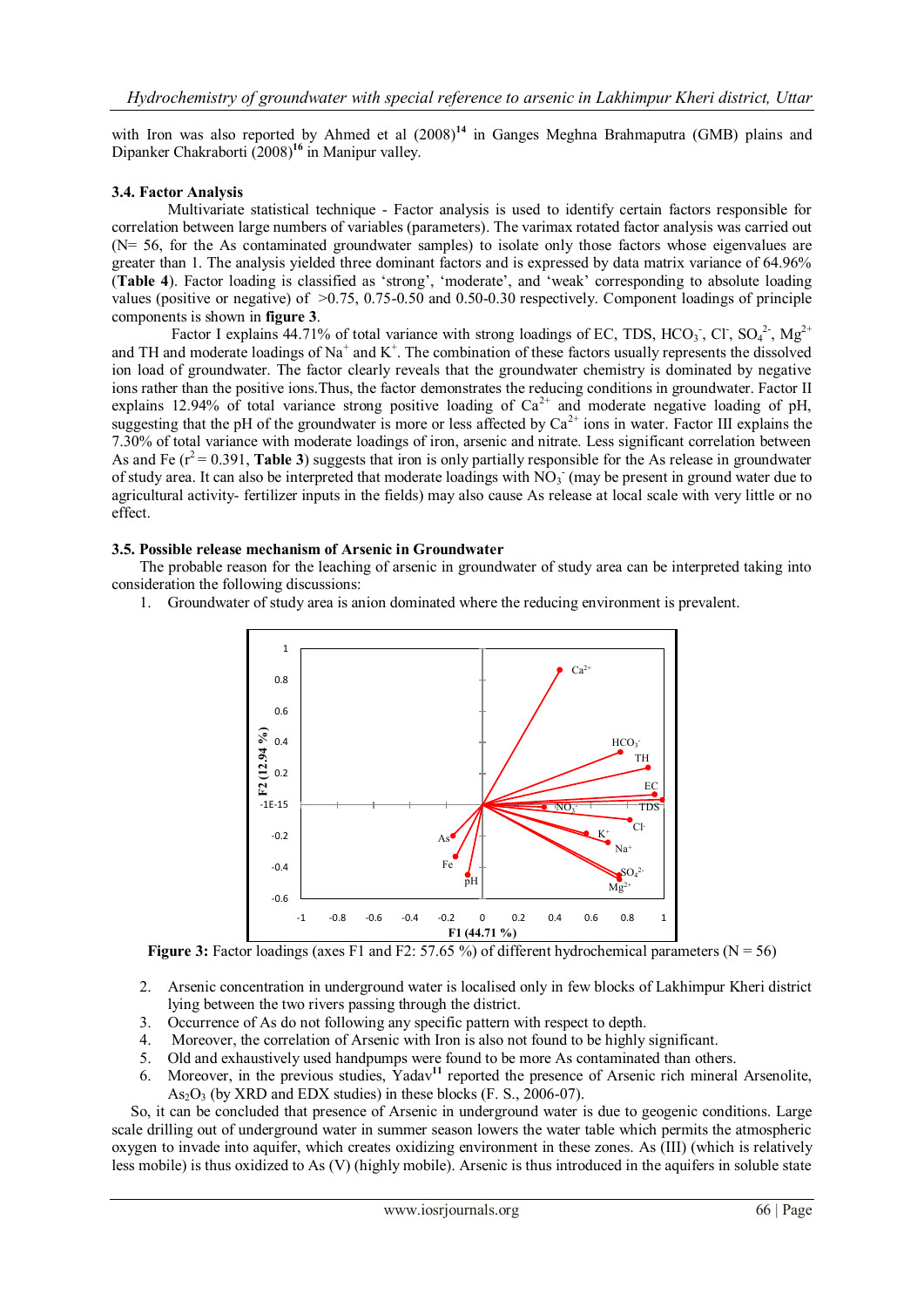with Iron was also reported by Ahmed et al  $(2008)^{14}$  in Ganges Meghna Brahmaputra (GMB) plains and Dipanker Chakraborti (2008)**<sup>16</sup>** in Manipur valley.

### **3.4. Factor Analysis**

Multivariate statistical technique - Factor analysis is used to identify certain factors responsible for correlation between large numbers of variables (parameters). The varimax rotated factor analysis was carried out (N= 56, for the As contaminated groundwater samples) to isolate only those factors whose eigenvalues are greater than 1. The analysis yielded three dominant factors and is expressed by data matrix variance of 64.96% (**Table 4**). Factor loading is classified as 'strong', 'moderate', and 'weak' corresponding to absolute loading values (positive or negative) of >0.75, 0.75-0.50 and 0.50-0.30 respectively. Component loadings of principle components is shown in **figure 3**.

Factor I explains 44.71% of total variance with strong loadings of EC, TDS, HCO<sub>3</sub>, Cl, SO<sub>4</sub><sup>2</sup>, Mg<sup>2+</sup> and TH and moderate loadings of Na<sup>+</sup> and K<sup>+</sup>. The combination of these factors usually represents the dissolved ion load of groundwater. The factor clearly reveals that the groundwater chemistry is dominated by negative ions rather than the positive ions.Thus, the factor demonstrates the reducing conditions in groundwater. Factor II explains 12.94% of total variance strong positive loading of  $Ca^{2+}$  and moderate negative loading of pH, suggesting that the pH of the groundwater is more or less affected by  $Ca^{2+}$  ions in water. Factor III explains the 7.30% of total variance with moderate loadings of iron, arsenic and nitrate. Less significant correlation between As and Fe  $(r^2 = 0.391$ , **Table 3**) suggests that iron is only partially responsible for the As release in groundwater of study area. It can also be interpreted that moderate loadings with  $NO<sub>3</sub>$  (may be present in ground water due to agricultural activity- fertilizer inputs in the fields) may also cause As release at local scale with very little or no effect.

#### **3.5. Possible release mechanism of Arsenic in Groundwater**

The probable reason for the leaching of arsenic in groundwater of study area can be interpreted taking into consideration the following discussions:

1. Groundwater of study area is anion dominated where the reducing environment is prevalent.



**Figure 3:** Factor loadings (axes F1 and F2: 57.65 %) of different hydrochemical parameters ( $N = 56$ )

- 2. Arsenic concentration in underground water is localised only in few blocks of Lakhimpur Kheri district lying between the two rivers passing through the district.
- 3. Occurrence of As do not following any specific pattern with respect to depth.
- 4. Moreover, the correlation of Arsenic with Iron is also not found to be highly significant.
- 5. Old and exhaustively used handpumps were found to be more As contaminated than others.
- Moreover, in the previous studies, Yadav<sup>11</sup> reported the presence of Arsenic rich mineral Arsenolite,  $As_2O_3$  (by XRD and EDX studies) in these blocks (F. S., 2006-07).

 So, it can be concluded that presence of Arsenic in underground water is due to geogenic conditions. Large scale drilling out of underground water in summer season lowers the water table which permits the atmospheric oxygen to invade into aquifer, which creates oxidizing environment in these zones. As (III) (which is relatively less mobile) is thus oxidized to As (V) (highly mobile). Arsenic is thus introduced in the aquifers in soluble state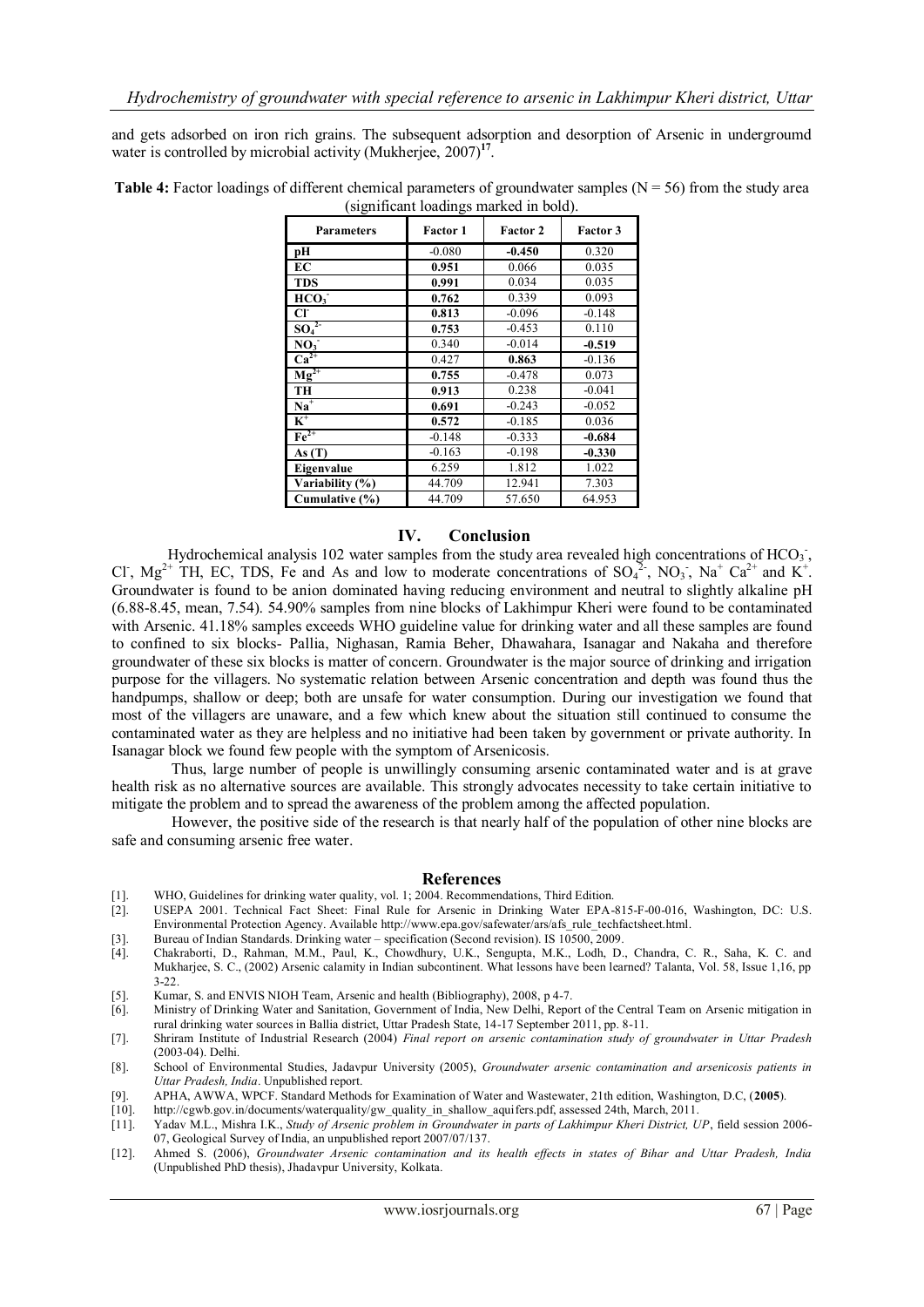and gets adsorbed on iron rich grains. The subsequent adsorption and desorption of Arsenic in undergroumd water is controlled by microbial activity (Mukherjee, 2007)<sup>17</sup>.

| <b>Parameters</b>            | <b>Factor 1</b> | <b>Factor 2</b> | <b>Factor 3</b> |
|------------------------------|-----------------|-----------------|-----------------|
| pН                           | $-0.080$        | $-0.450$        | 0.320           |
| EC                           | 0.951           | 0.066           | 0.035           |
| <b>TDS</b>                   | 0.991           | 0.034           | 0.035           |
| HCO <sub>3</sub>             | 0.762           | 0.339           | 0.093           |
| CF                           | 0.813           | $-0.096$        | $-0.148$        |
| SO <sub>4</sub> <sup>2</sup> | 0.753           | $-0.453$        | 0.110           |
| NO <sub>3</sub>              | 0.340           | $-0.014$        | $-0.519$        |
| $Ca^{2+}$                    | 0.427           | 0.863           | $-0.136$        |
| $Mg^{2+}$                    | 0.755           | $-0.478$        | 0.073           |
| TH                           | 0.913           | 0.238           | $-0.041$        |
| $Na+$                        | 0.691           | $-0.243$        | $-0.052$        |
| $K^+$                        | 0.572           | $-0.185$        | 0.036           |
| $\overline{\text{Fe}^{2+}}$  | $-0.148$        | $-0.333$        | $-0.684$        |
| As $(T)$                     | $-0.163$        | $-0.198$        | $-0.330$        |
| Eigenvalue                   | 6.259           | 1.812           | 1.022           |
| Variability (%)              | 44.709          | 12.941          | 7.303           |
| Cumulative (%)               | 44.709          | 57.650          | 64.953          |

**Table 4:** Factor loadings of different chemical parameters of groundwater samples ( $N = 56$ ) from the study area (significant loadings marked in bold).

#### **IV. Conclusion**

Hydrochemical analysis 102 water samples from the study area revealed high concentrations of HCO<sub>3</sub>, Cl,  $Mg^{2+}$  TH, EC, TDS, Fe and As and low to moderate concentrations of SO<sub>4</sub><sup>2</sup>, NO<sub>3</sub>, Na<sup>+</sup> Ca<sup>2+</sup> and K<sup>+</sup>. Groundwater is found to be anion dominated having reducing environment and neutral to slightly alkaline pH (6.88-8.45, mean, 7.54). 54.90% samples from nine blocks of Lakhimpur Kheri were found to be contaminated with Arsenic. 41.18% samples exceeds WHO guideline value for drinking water and all these samples are found to confined to six blocks- Pallia, Nighasan, Ramia Beher, Dhawahara, Isanagar and Nakaha and therefore groundwater of these six blocks is matter of concern. Groundwater is the major source of drinking and irrigation purpose for the villagers. No systematic relation between Arsenic concentration and depth was found thus the handpumps, shallow or deep; both are unsafe for water consumption. During our investigation we found that most of the villagers are unaware, and a few which knew about the situation still continued to consume the contaminated water as they are helpless and no initiative had been taken by government or private authority. In Isanagar block we found few people with the symptom of Arsenicosis.

 Thus, large number of people is unwillingly consuming arsenic contaminated water and is at grave health risk as no alternative sources are available. This strongly advocates necessity to take certain initiative to mitigate the problem and to spread the awareness of the problem among the affected population.

 However, the positive side of the research is that nearly half of the population of other nine blocks are safe and consuming arsenic free water.

#### **References**

- [1]. WHO, Guidelines for drinking water quality, vol. 1; 2004. Recommendations, Third Edition.
- [2]. USEPA 2001. Technical Fact Sheet: Final Rule for Arsenic in Drinking Water EPA-815-F-00-016, Washington, DC: U.S. Environmental Protection Agency. Availabl[e http://www.epa.gov/safewater/ars/afs\\_rule\\_techfactsheet.html.](http://www.epa.gov/safewater/ars/afs_rule_techfactsheet.html)
- [3]. Bureau of Indian Standards. Drinking water specification (Second revision). IS 10500, 2009.
- [4]. Chakraborti, D., Rahman, M.M., Paul, K., Chowdhury, U.K., Sengupta, M.K., Lodh, D., Chandra, C. R., Saha, K. C. and Mukharjee, S. C., (2002) Arsenic calamity in Indian subcontinent. What lessons have been learned? Talanta, Vol. 58, Issue 1,16, pp 3-22.
- [5]. Kumar, S. and ENVIS NIOH Team, Arsenic and health (Bibliography), 2008, p 4-7.
- [6]. Ministry of Drinking Water and Sanitation, Government of India, New Delhi, Report of the Central Team on Arsenic mitigation in rural drinking water sources in Ballia district, Uttar Pradesh State, 14-17 September 2011, pp. 8-11.
- [7]. Shriram Institute of Industrial Research (2004) *Final report on arsenic contamination study of groundwater in Uttar Pradesh*  (2003-04). Delhi.
- [8]. School of Environmental Studies, Jadavpur University (2005), *Groundwater arsenic contamination and arsenicosis patients in Uttar Pradesh, India*. Unpublished report.
- [9]. APHA, AWWA, WPCF. Standard Methods for Examination of Water and Wastewater, 21th edition, Washington, D.C, (**2005**).
- [http://cgwb.gov.in/documents/waterquality/gw\\_quality\\_in\\_shallow\\_aquifers.pdf,](http://cgwb.gov.in/documents/waterquality/gw_quality_in_shallow_aquifers.pdf) assessed 24th, March, 2011.
- [11]. Yadav M.L., Mishra I.K., *Study of Arsenic problem in Groundwater in parts of Lakhimpur Kheri District, UP*, field session 2006- 07, Geological Survey of India, an unpublished report 2007/07/137.
- [12]. Ahmed S. (2006), *Groundwater Arsenic contamination and its health effects in states of Bihar and Uttar Pradesh, India* (Unpublished PhD thesis), Jhadavpur University, Kolkata.